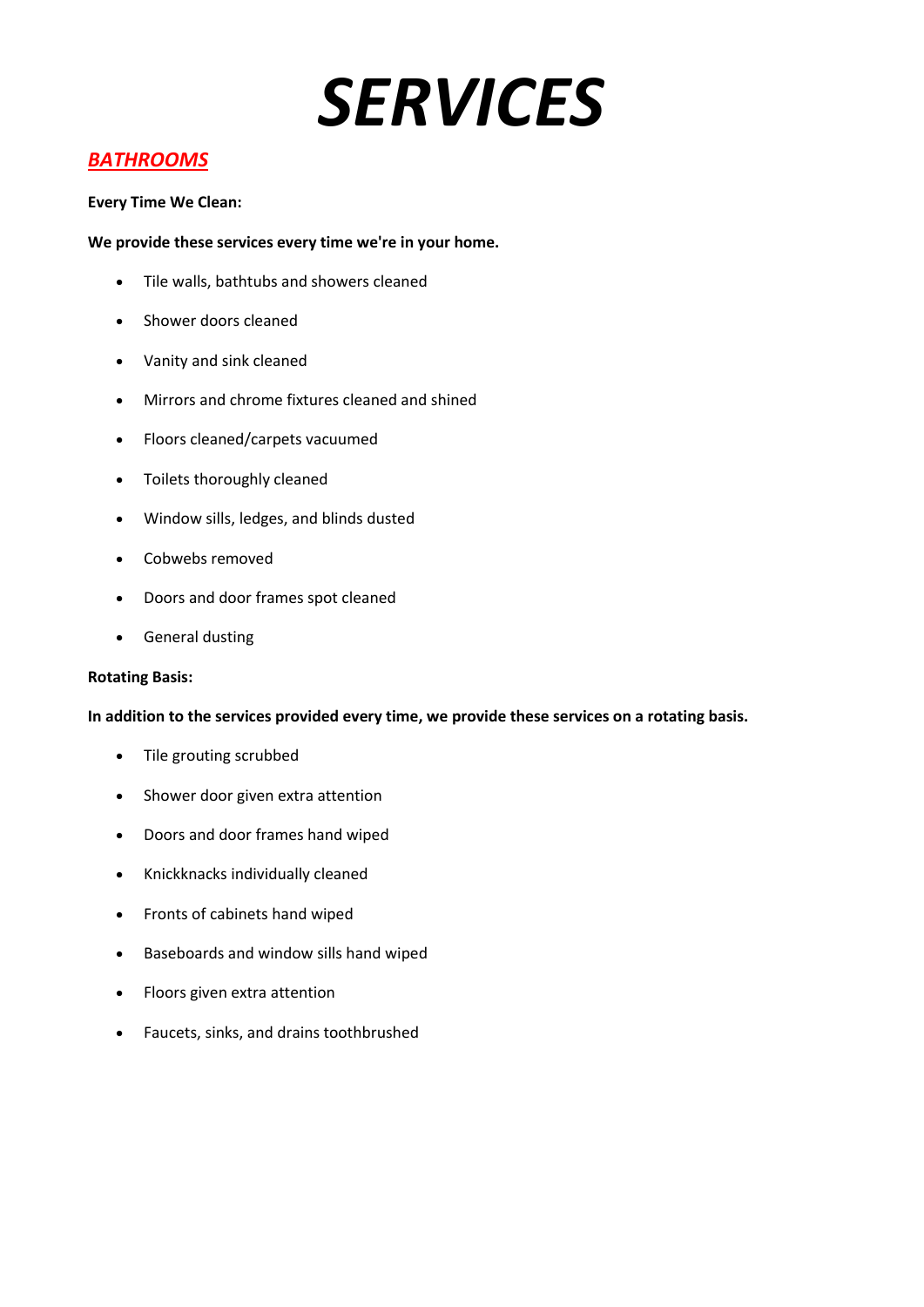## *BATHROOMS*

## **Every Time We Clean:**

## **We provide these services every time we're in your home.**

- Tile walls, bathtubs and showers cleaned
- Shower doors cleaned
- Vanity and sink cleaned
- Mirrors and chrome fixtures cleaned and shined
- Floors cleaned/carpets vacuumed
- Toilets thoroughly cleaned
- Window sills, ledges, and blinds dusted
- Cobwebs removed
- Doors and door frames spot cleaned
- General dusting

## **Rotating Basis:**

- Tile grouting scrubbed
- Shower door given extra attention
- Doors and door frames hand wiped
- Knickknacks individually cleaned
- Fronts of cabinets hand wiped
- Baseboards and window sills hand wiped
- Floors given extra attention
- Faucets, sinks, and drains toothbrushed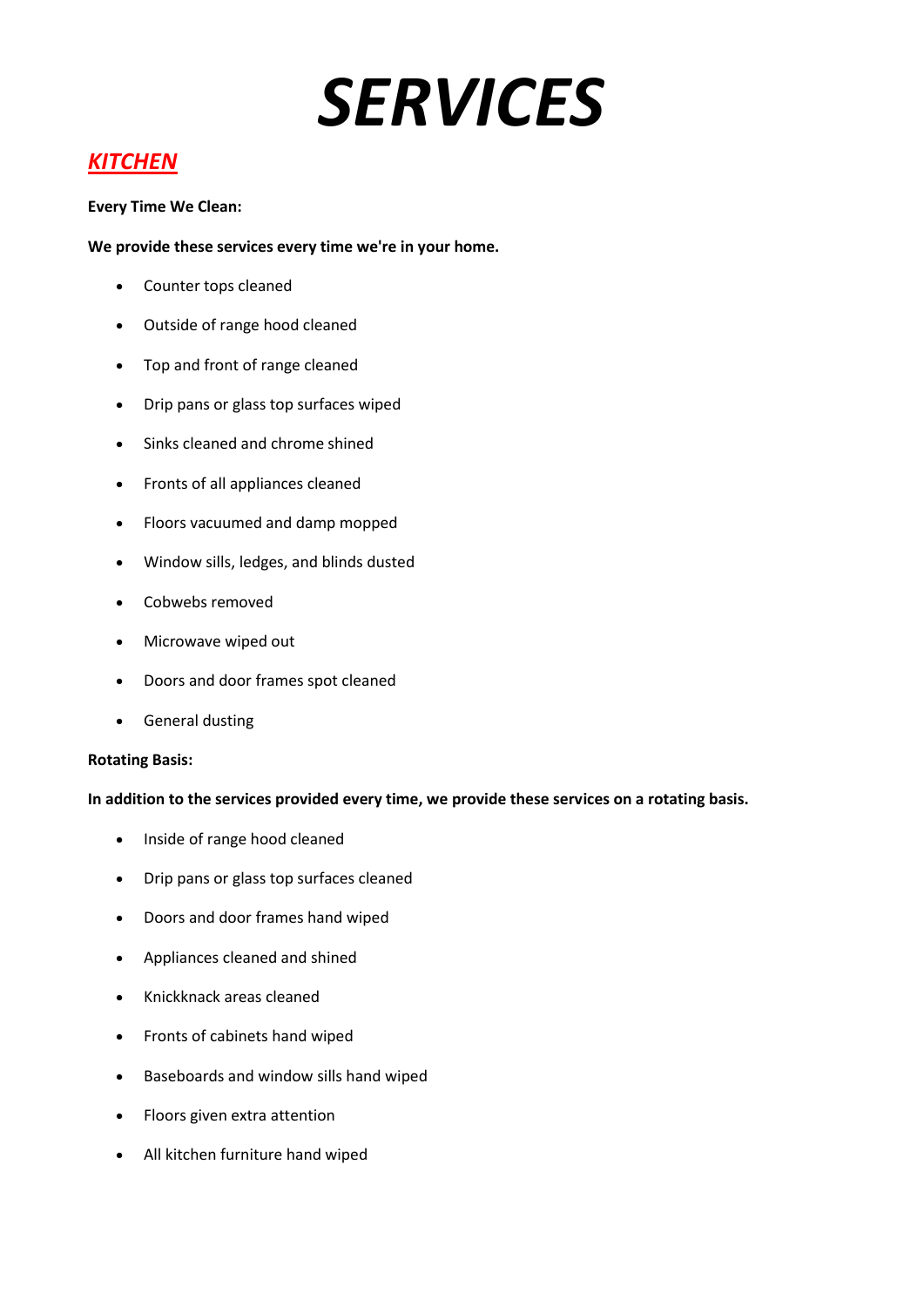## *KITCHEN*

## **Every Time We Clean:**

## **We provide these services every time we're in your home.**

- Counter tops cleaned
- Outside of range hood cleaned
- Top and front of range cleaned
- Drip pans or glass top surfaces wiped
- Sinks cleaned and chrome shined
- Fronts of all appliances cleaned
- Floors vacuumed and damp mopped
- Window sills, ledges, and blinds dusted
- Cobwebs removed
- Microwave wiped out
- Doors and door frames spot cleaned
- **•** General dusting

## **Rotating Basis:**

- Inside of range hood cleaned
- Drip pans or glass top surfaces cleaned
- Doors and door frames hand wiped
- Appliances cleaned and shined
- Knickknack areas cleaned
- Fronts of cabinets hand wiped
- Baseboards and window sills hand wiped
- Floors given extra attention
- All kitchen furniture hand wiped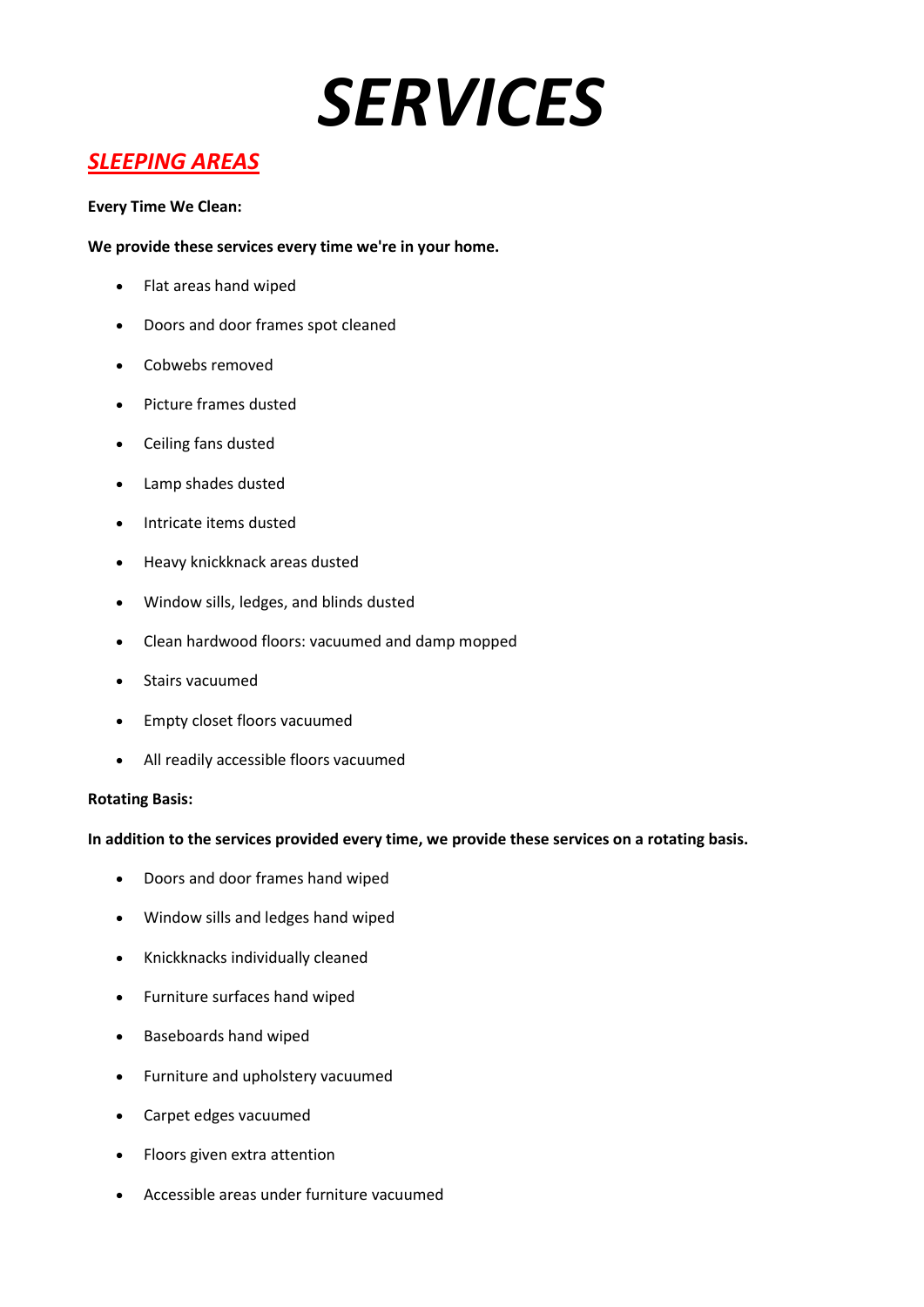## *SLEEPING AREAS*

## **Every Time We Clean:**

## **We provide these services every time we're in your home.**

- Flat areas hand wiped
- Doors and door frames spot cleaned
- Cobwebs removed
- Picture frames dusted
- Ceiling fans dusted
- Lamp shades dusted
- Intricate items dusted
- Heavy knickknack areas dusted
- Window sills, ledges, and blinds dusted
- Clean hardwood floors: vacuumed and damp mopped
- Stairs vacuumed
- Empty closet floors vacuumed
- All readily accessible floors vacuumed

## **Rotating Basis:**

- Doors and door frames hand wiped
- Window sills and ledges hand wiped
- Knickknacks individually cleaned
- Furniture surfaces hand wiped
- Baseboards hand wiped
- Furniture and upholstery vacuumed
- Carpet edges vacuumed
- Floors given extra attention
- Accessible areas under furniture vacuumed